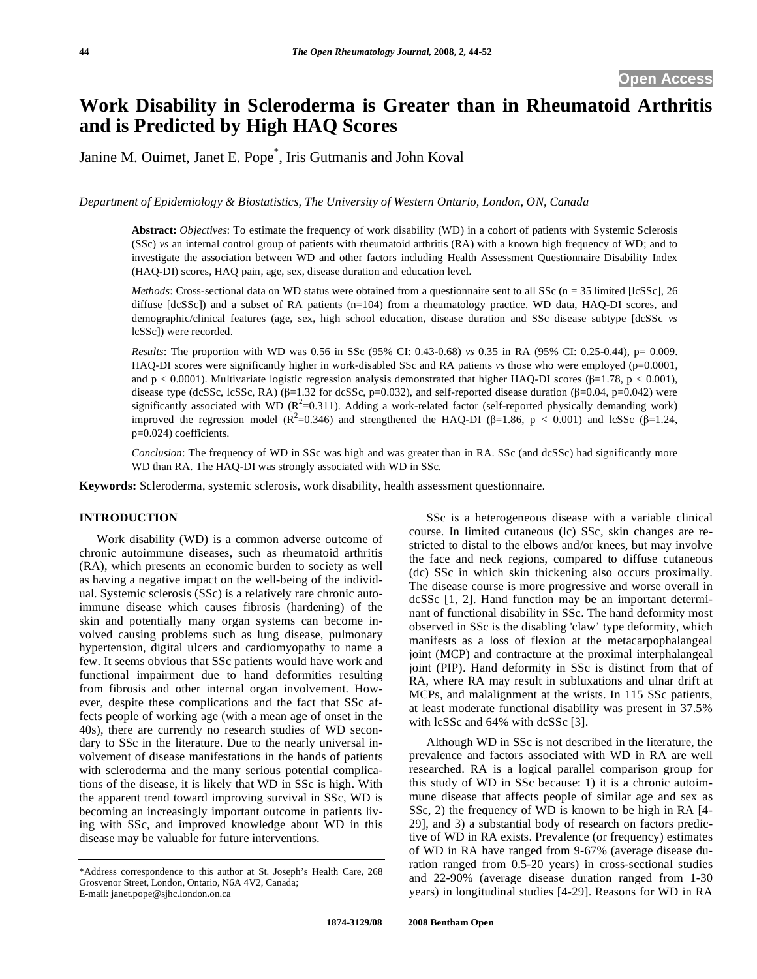# **Work Disability in Scleroderma is Greater than in Rheumatoid Arthritis and is Predicted by High HAQ Scores**

Janine M. Ouimet, Janet E. Pope<sup>\*</sup>, Iris Gutmanis and John Koval

*Department of Epidemiology & Biostatistics, The University of Western Ontario, London, ON, Canada* 

**Abstract:** *Objectives*: To estimate the frequency of work disability (WD) in a cohort of patients with Systemic Sclerosis (SSc) *vs* an internal control group of patients with rheumatoid arthritis (RA) with a known high frequency of WD; and to investigate the association between WD and other factors including Health Assessment Questionnaire Disability Index (HAQ-DI) scores, HAQ pain, age, sex, disease duration and education level.

*Methods*: Cross-sectional data on WD status were obtained from a questionnaire sent to all SSc (n = 35 limited [lcSSc], 26 diffuse [dcSSc]) and a subset of RA patients (n=104) from a rheumatology practice. WD data, HAQ-DI scores, and demographic/clinical features (age, sex, high school education, disease duration and SSc disease subtype [dcSSc *vs* lcSSc]) were recorded.

*Results*: The proportion with WD was 0.56 in SSc (95% CI: 0.43-0.68) *vs* 0.35 in RA (95% CI: 0.25-0.44), p= 0.009. HAQ-DI scores were significantly higher in work-disabled SSc and RA patients *vs* those who were employed (p=0.0001, and p < 0.0001). Multivariate logistic regression analysis demonstrated that higher HAQ-DI scores ( $\beta$ =1.78, p < 0.001), disease type (dcSSc, lcSSc, RA) ( $\beta$ =1.32 for dcSSc, p=0.032), and self-reported disease duration ( $\beta$ =0.04, p=0.042) were significantly associated with WD ( $R^2$ =0.311). Adding a work-related factor (self-reported physically demanding work) improved the regression model ( $R^2$ =0.346) and strengthened the HAQ-DI ( $\beta$ =1.86, p < 0.001) and lcSSc ( $\beta$ =1.24, p=0.024) coefficients.

*Conclusion*: The frequency of WD in SSc was high and was greater than in RA. SSc (and dcSSc) had significantly more WD than RA. The HAQ-DI was strongly associated with WD in SSc.

**Keywords:** Scleroderma, systemic sclerosis, work disability, health assessment questionnaire.

# **INTRODUCTION**

 Work disability (WD) is a common adverse outcome of chronic autoimmune diseases, such as rheumatoid arthritis (RA), which presents an economic burden to society as well as having a negative impact on the well-being of the individual. Systemic sclerosis (SSc) is a relatively rare chronic autoimmune disease which causes fibrosis (hardening) of the skin and potentially many organ systems can become involved causing problems such as lung disease, pulmonary hypertension, digital ulcers and cardiomyopathy to name a few. It seems obvious that SSc patients would have work and functional impairment due to hand deformities resulting from fibrosis and other internal organ involvement. However, despite these complications and the fact that SSc affects people of working age (with a mean age of onset in the 40s), there are currently no research studies of WD secondary to SSc in the literature. Due to the nearly universal involvement of disease manifestations in the hands of patients with scleroderma and the many serious potential complications of the disease, it is likely that WD in SSc is high. With the apparent trend toward improving survival in SSc, WD is becoming an increasingly important outcome in patients living with SSc, and improved knowledge about WD in this disease may be valuable for future interventions.

 SSc is a heterogeneous disease with a variable clinical course. In limited cutaneous (lc) SSc, skin changes are restricted to distal to the elbows and/or knees, but may involve the face and neck regions, compared to diffuse cutaneous (dc) SSc in which skin thickening also occurs proximally. The disease course is more progressive and worse overall in dcSSc [1, 2]. Hand function may be an important determinant of functional disability in SSc. The hand deformity most observed in SSc is the disabling 'claw' type deformity, which manifests as a loss of flexion at the metacarpophalangeal joint (MCP) and contracture at the proximal interphalangeal joint (PIP). Hand deformity in SSc is distinct from that of RA, where RA may result in subluxations and ulnar drift at MCPs, and malalignment at the wrists. In 115 SSc patients, at least moderate functional disability was present in 37.5% with lcSSc and 64% with dcSSc [3].

 Although WD in SSc is not described in the literature, the prevalence and factors associated with WD in RA are well researched. RA is a logical parallel comparison group for this study of WD in SSc because: 1) it is a chronic autoimmune disease that affects people of similar age and sex as SSc, 2) the frequency of WD is known to be high in RA [4- 29], and 3) a substantial body of research on factors predictive of WD in RA exists. Prevalence (or frequency) estimates of WD in RA have ranged from 9-67% (average disease duration ranged from 0.5-20 years) in cross-sectional studies and 22-90% (average disease duration ranged from 1-30 years) in longitudinal studies [4-29]. Reasons for WD in RA

<sup>\*</sup>Address correspondence to this author at St. Joseph's Health Care, 268 Grosvenor Street, London, Ontario, N6A 4V2, Canada; E-mail: janet.pope@sjhc.london.on.ca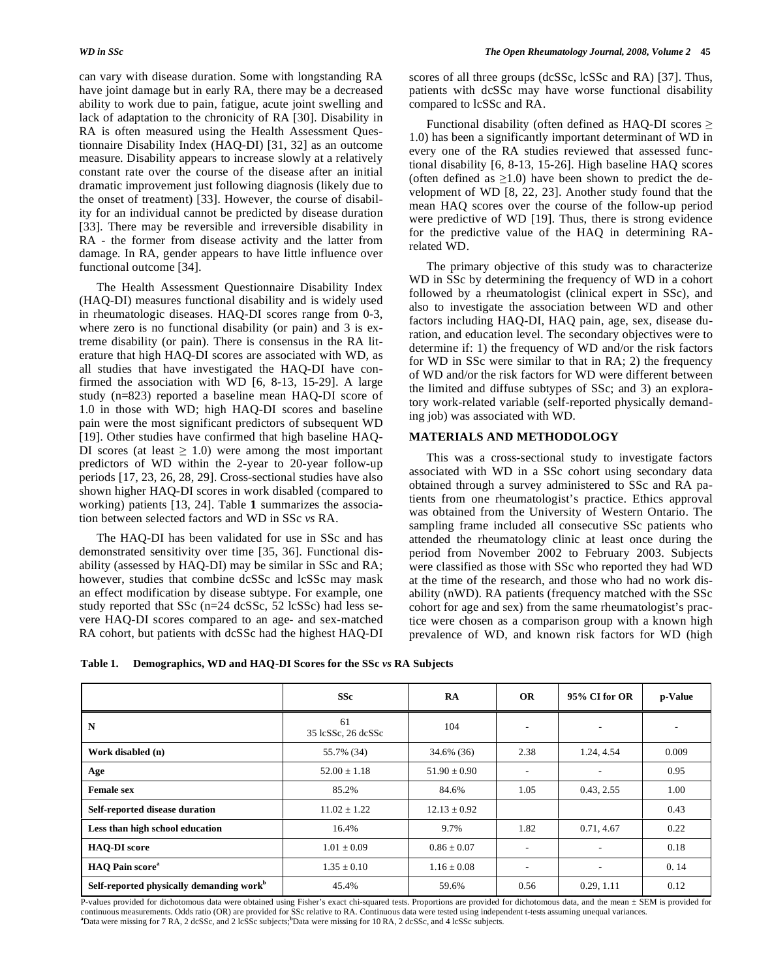can vary with disease duration. Some with longstanding RA have joint damage but in early RA, there may be a decreased ability to work due to pain, fatigue, acute joint swelling and lack of adaptation to the chronicity of RA [30]. Disability in RA is often measured using the Health Assessment Questionnaire Disability Index (HAQ-DI) [31, 32] as an outcome measure. Disability appears to increase slowly at a relatively constant rate over the course of the disease after an initial dramatic improvement just following diagnosis (likely due to the onset of treatment) [33]. However, the course of disability for an individual cannot be predicted by disease duration [33]. There may be reversible and irreversible disability in RA - the former from disease activity and the latter from damage. In RA, gender appears to have little influence over functional outcome [34].

 The Health Assessment Questionnaire Disability Index (HAQ-DI) measures functional disability and is widely used in rheumatologic diseases. HAQ-DI scores range from 0-3, where zero is no functional disability (or pain) and 3 is extreme disability (or pain). There is consensus in the RA literature that high HAQ-DI scores are associated with WD, as all studies that have investigated the HAQ-DI have confirmed the association with WD [6, 8-13, 15-29]. A large study (n=823) reported a baseline mean HAQ-DI score of 1.0 in those with WD; high HAQ-DI scores and baseline pain were the most significant predictors of subsequent WD [19]. Other studies have confirmed that high baseline HAQ-DI scores (at least  $\geq 1.0$ ) were among the most important predictors of WD within the 2-year to 20-year follow-up periods [17, 23, 26, 28, 29]. Cross-sectional studies have also shown higher HAQ-DI scores in work disabled (compared to working) patients [13, 24]. Table **1** summarizes the association between selected factors and WD in SSc *vs* RA.

 The HAQ-DI has been validated for use in SSc and has demonstrated sensitivity over time [35, 36]. Functional disability (assessed by HAQ-DI) may be similar in SSc and RA; however, studies that combine dcSSc and lcSSc may mask an effect modification by disease subtype. For example, one study reported that SSc (n=24 dcSSc, 52 lcSSc) had less severe HAQ-DI scores compared to an age- and sex-matched RA cohort, but patients with dcSSc had the highest HAQ-DI scores of all three groups (dcSSc, lcSSc and RA) [37]. Thus, patients with dcSSc may have worse functional disability compared to lcSSc and RA.

Functional disability (often defined as HAQ-DI scores  $\geq$ 1.0) has been a significantly important determinant of WD in every one of the RA studies reviewed that assessed functional disability [6, 8-13, 15-26]. High baseline HAQ scores (often defined as  $\geq 1.0$ ) have been shown to predict the development of WD [8, 22, 23]. Another study found that the mean HAQ scores over the course of the follow-up period were predictive of WD [19]. Thus, there is strong evidence for the predictive value of the HAQ in determining RArelated WD.

 The primary objective of this study was to characterize WD in SSc by determining the frequency of WD in a cohort followed by a rheumatologist (clinical expert in SSc), and also to investigate the association between WD and other factors including HAQ-DI, HAQ pain, age, sex, disease duration, and education level. The secondary objectives were to determine if: 1) the frequency of WD and/or the risk factors for WD in SSc were similar to that in RA; 2) the frequency of WD and/or the risk factors for WD were different between the limited and diffuse subtypes of SSc; and 3) an exploratory work-related variable (self-reported physically demanding job) was associated with WD.

#### **MATERIALS AND METHODOLOGY**

 This was a cross-sectional study to investigate factors associated with WD in a SSc cohort using secondary data obtained through a survey administered to SSc and RA patients from one rheumatologist's practice. Ethics approval was obtained from the University of Western Ontario. The sampling frame included all consecutive SSc patients who attended the rheumatology clinic at least once during the period from November 2002 to February 2003. Subjects were classified as those with SSc who reported they had WD at the time of the research, and those who had no work disability (nWD). RA patients (frequency matched with the SSc cohort for age and sex) from the same rheumatologist's practice were chosen as a comparison group with a known high prevalence of WD, and known risk factors for WD (high

|  | Table 1. Demographics, WD and HAQ-DI Scores for the SSc vs RA Subjects |  |  |  |  |
|--|------------------------------------------------------------------------|--|--|--|--|
|--|------------------------------------------------------------------------|--|--|--|--|

|                                                      | <b>SSc</b>               | RA               | <b>OR</b>                | 95% CI for OR            | p-Value |
|------------------------------------------------------|--------------------------|------------------|--------------------------|--------------------------|---------|
| N                                                    | 61<br>35 lcSSc, 26 dcSSc | 104              |                          |                          |         |
| Work disabled (n)                                    | 55.7% (34)               | 34.6% (36)       | 2.38                     | 1.24, 4.54               | 0.009   |
| Age                                                  | $52.00 \pm 1.18$         | $51.90 \pm 0.90$ | $\overline{\phantom{a}}$ | $\overline{\phantom{a}}$ | 0.95    |
| <b>Female sex</b>                                    | 85.2%                    | 84.6%            | 1.05                     | 0.43, 2.55               | 1.00    |
| Self-reported disease duration                       | $11.02 \pm 1.22$         | $12.13 \pm 0.92$ |                          |                          | 0.43    |
| Less than high school education                      | 16.4%                    | 9.7%             | 1.82                     | 0.71, 4.67               | 0.22    |
| <b>HAO-DI</b> score                                  | $1.01 \pm 0.09$          | $0.86 \pm 0.07$  | $\overline{\phantom{a}}$ |                          | 0.18    |
| <b>HAO Pain score</b> <sup>a</sup>                   | $1.35 \pm 0.10$          | $1.16 \pm 0.08$  | $\overline{\phantom{a}}$ |                          | 0.14    |
| Self-reported physically demanding work <sup>b</sup> | 45.4%                    | 59.6%            | 0.56                     | 0.29, 1.11               | 0.12    |

P-values provided for dichotomous data were obtained using Fisher's exact chi-squared tests. Proportions are provided for dichotomous data, and the mean ± SEM is provided for continuous measurements. Odds ratio (OR) are provided for SSc relative to RA. Continuous data were tested using independent t-tests assuming unequal variances. **<sup>a</sup>** Data were missing for 7 RA, 2 dcSSc, and 2 lcSSc subjects;<sup>b</sup>Data were missing for 10 RA, 2 dcSSc, and 4 lcSSc subjects.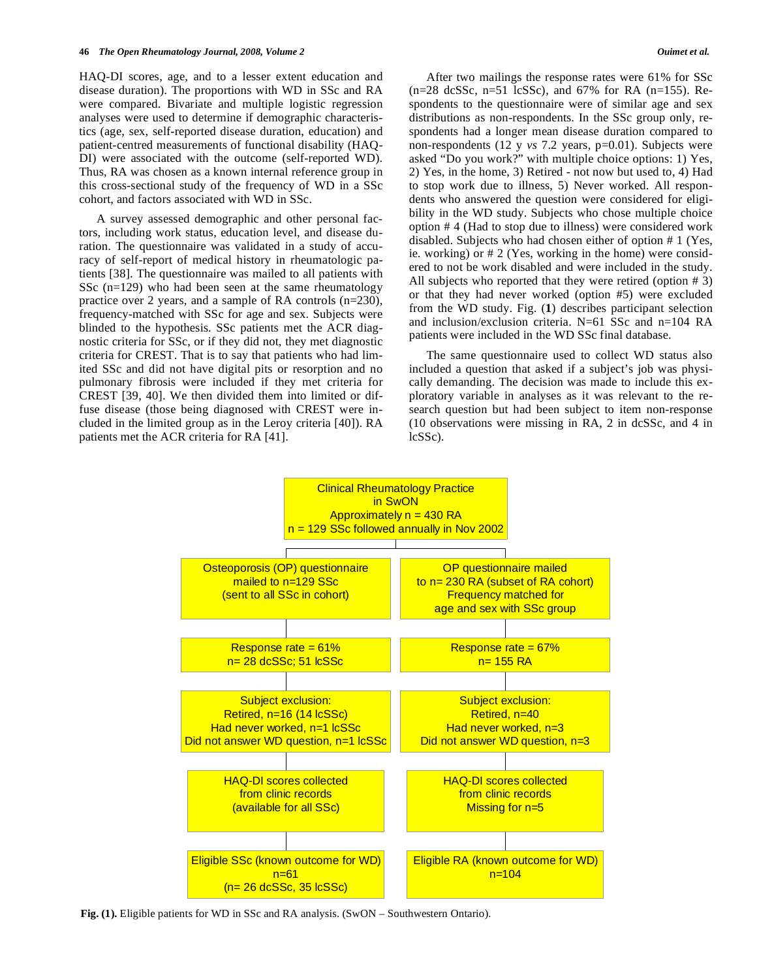HAQ-DI scores, age, and to a lesser extent education and disease duration). The proportions with WD in SSc and RA were compared. Bivariate and multiple logistic regression analyses were used to determine if demographic characteristics (age, sex, self-reported disease duration, education) and patient-centred measurements of functional disability (HAQ-DI) were associated with the outcome (self-reported WD). Thus, RA was chosen as a known internal reference group in this cross-sectional study of the frequency of WD in a SSc cohort, and factors associated with WD in SSc.

 A survey assessed demographic and other personal factors, including work status, education level, and disease duration. The questionnaire was validated in a study of accuracy of self-report of medical history in rheumatologic patients [38]. The questionnaire was mailed to all patients with SSc (n=129) who had been seen at the same rheumatology practice over 2 years, and a sample of RA controls (n=230), frequency-matched with SSc for age and sex. Subjects were blinded to the hypothesis. SSc patients met the ACR diagnostic criteria for SSc, or if they did not, they met diagnostic criteria for CREST. That is to say that patients who had limited SSc and did not have digital pits or resorption and no pulmonary fibrosis were included if they met criteria for CREST [39, 40]. We then divided them into limited or diffuse disease (those being diagnosed with CREST were included in the limited group as in the Leroy criteria [40]). RA patients met the ACR criteria for RA [41].

 After two mailings the response rates were 61% for SSc  $(n=28 \text{ dcSSc}, n=51 \text{ lcSSc})$ , and 67% for RA  $(n=155)$ . Respondents to the questionnaire were of similar age and sex distributions as non-respondents. In the SSc group only, respondents had a longer mean disease duration compared to non-respondents (12 y *vs* 7.2 years, p=0.01). Subjects were asked "Do you work?" with multiple choice options: 1) Yes, 2) Yes, in the home, 3) Retired - not now but used to, 4) Had to stop work due to illness, 5) Never worked. All respondents who answered the question were considered for eligibility in the WD study. Subjects who chose multiple choice option # 4 (Had to stop due to illness) were considered work disabled. Subjects who had chosen either of option # 1 (Yes, ie. working) or # 2 (Yes, working in the home) were considered to not be work disabled and were included in the study. All subjects who reported that they were retired (option # 3) or that they had never worked (option #5) were excluded from the WD study. Fig. (**1**) describes participant selection and inclusion/exclusion criteria. N=61 SSc and n=104 RA patients were included in the WD SSc final database.

 The same questionnaire used to collect WD status also included a question that asked if a subject's job was physically demanding. The decision was made to include this exploratory variable in analyses as it was relevant to the research question but had been subject to item non-response (10 observations were missing in RA, 2 in dcSSc, and 4 in lcSSc).



**Fig. (1).** Eligible patients for WD in SSc and RA analysis. (SwON – Southwestern Ontario).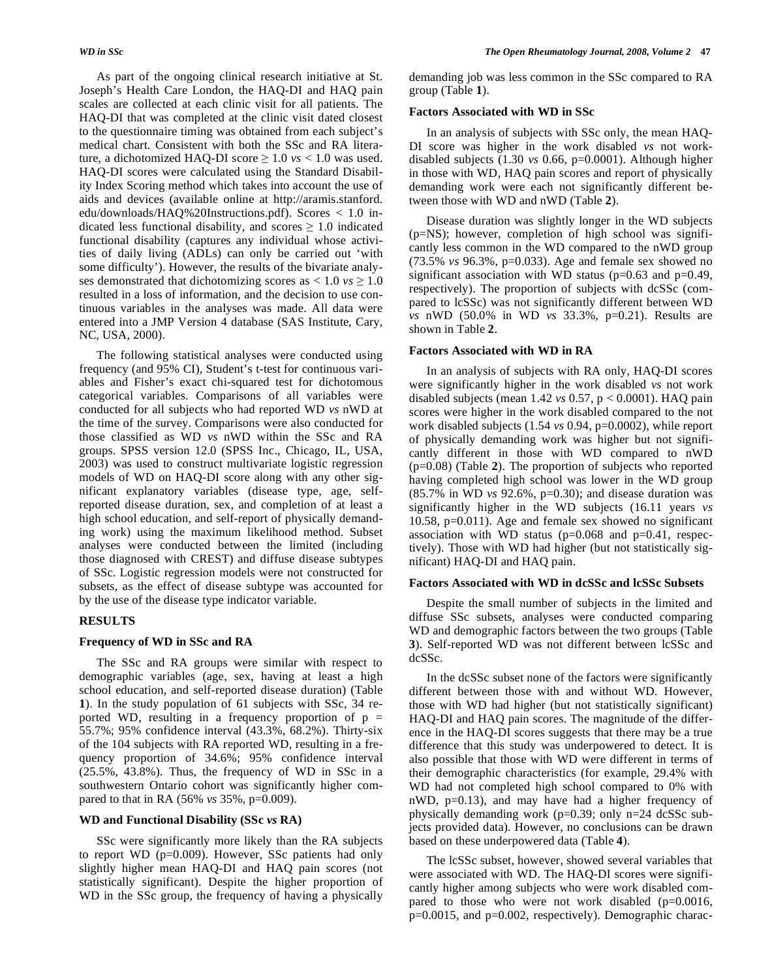As part of the ongoing clinical research initiative at St. Joseph's Health Care London, the HAQ-DI and HAQ pain scales are collected at each clinic visit for all patients. The HAQ-DI that was completed at the clinic visit dated closest to the questionnaire timing was obtained from each subject's medical chart. Consistent with both the SSc and RA literature, a dichotomized HAQ-DI score  $\geq 1.0$  *vs* < 1.0 was used. HAQ-DI scores were calculated using the Standard Disability Index Scoring method which takes into account the use of aids and devices (available online at http://aramis.stanford. edu/downloads/HAQ%20Instructions.pdf). Scores < 1.0 indicated less functional disability, and scores  $\geq 1.0$  indicated functional disability (captures any individual whose activities of daily living (ADLs) can only be carried out 'with some difficulty'). However, the results of the bivariate analyses demonstrated that dichotomizing scores as  $< 1.0$  *vs*  $\geq 1.0$ resulted in a loss of information, and the decision to use continuous variables in the analyses was made. All data were entered into a JMP Version 4 database (SAS Institute, Cary, NC, USA, 2000).

 The following statistical analyses were conducted using frequency (and 95% CI), Student's t-test for continuous variables and Fisher's exact chi-squared test for dichotomous categorical variables. Comparisons of all variables were conducted for all subjects who had reported WD *vs* nWD at the time of the survey. Comparisons were also conducted for those classified as WD *vs* nWD within the SSc and RA groups. SPSS version 12.0 (SPSS Inc., Chicago, IL, USA, 2003) was used to construct multivariate logistic regression models of WD on HAQ-DI score along with any other significant explanatory variables (disease type, age, selfreported disease duration, sex, and completion of at least a high school education, and self-report of physically demanding work) using the maximum likelihood method. Subset analyses were conducted between the limited (including those diagnosed with CREST) and diffuse disease subtypes of SSc. Logistic regression models were not constructed for subsets, as the effect of disease subtype was accounted for by the use of the disease type indicator variable.

#### **RESULTS**

#### **Frequency of WD in SSc and RA**

 The SSc and RA groups were similar with respect to demographic variables (age, sex, having at least a high school education, and self-reported disease duration) (Table **1**). In the study population of 61 subjects with SSc, 34 reported WD, resulting in a frequency proportion of  $p =$ 55.7%; 95% confidence interval (43.3%, 68.2%). Thirty-six of the 104 subjects with RA reported WD, resulting in a frequency proportion of 34.6%; 95% confidence interval (25.5%, 43.8%). Thus, the frequency of WD in SSc in a southwestern Ontario cohort was significantly higher compared to that in RA (56% *vs* 35%, p=0.009).

#### **WD and Functional Disability (SSc** *vs* **RA)**

 SSc were significantly more likely than the RA subjects to report WD (p=0.009). However, SSc patients had only slightly higher mean HAQ-DI and HAQ pain scores (not statistically significant). Despite the higher proportion of WD in the SSc group, the frequency of having a physically

demanding job was less common in the SSc compared to RA group (Table **1**).

## **Factors Associated with WD in SSc**

 In an analysis of subjects with SSc only, the mean HAQ-DI score was higher in the work disabled *vs* not workdisabled subjects (1.30 *vs* 0.66, p=0.0001). Although higher in those with WD, HAQ pain scores and report of physically demanding work were each not significantly different between those with WD and nWD (Table **2**).

 Disease duration was slightly longer in the WD subjects (p=NS); however, completion of high school was significantly less common in the WD compared to the nWD group (73.5% *vs* 96.3%, p=0.033). Age and female sex showed no significant association with WD status ( $p=0.63$  and  $p=0.49$ , respectively). The proportion of subjects with dcSSc (compared to lcSSc) was not significantly different between WD *vs* nWD (50.0% in WD *vs* 33.3%, p=0.21). Results are shown in Table **2**.

#### **Factors Associated with WD in RA**

 In an analysis of subjects with RA only, HAQ-DI scores were significantly higher in the work disabled *vs* not work disabled subjects (mean 1.42 *vs* 0.57, p < 0.0001). HAQ pain scores were higher in the work disabled compared to the not work disabled subjects (1.54 *vs* 0.94, p=0.0002), while report of physically demanding work was higher but not significantly different in those with WD compared to nWD (p=0.08) (Table **2**). The proportion of subjects who reported having completed high school was lower in the WD group (85.7% in WD *vs* 92.6%, p=0.30); and disease duration was significantly higher in the WD subjects (16.11 years *vs*  10.58, p=0.011). Age and female sex showed no significant association with WD status ( $p=0.068$  and  $p=0.41$ , respectively). Those with WD had higher (but not statistically significant) HAQ-DI and HAQ pain.

## **Factors Associated with WD in dcSSc and lcSSc Subsets**

 Despite the small number of subjects in the limited and diffuse SSc subsets, analyses were conducted comparing WD and demographic factors between the two groups (Table **3**). Self-reported WD was not different between lcSSc and dcSSc.

 In the dcSSc subset none of the factors were significantly different between those with and without WD. However, those with WD had higher (but not statistically significant) HAQ-DI and HAQ pain scores. The magnitude of the difference in the HAQ-DI scores suggests that there may be a true difference that this study was underpowered to detect. It is also possible that those with WD were different in terms of their demographic characteristics (for example, 29.4% with WD had not completed high school compared to 0% with nWD, p=0.13), and may have had a higher frequency of physically demanding work (p=0.39; only n=24 dcSSc subjects provided data). However, no conclusions can be drawn based on these underpowered data (Table **4**).

 The lcSSc subset, however, showed several variables that were associated with WD. The HAQ-DI scores were significantly higher among subjects who were work disabled compared to those who were not work disabled (p=0.0016, p=0.0015, and p=0.002, respectively). Demographic charac-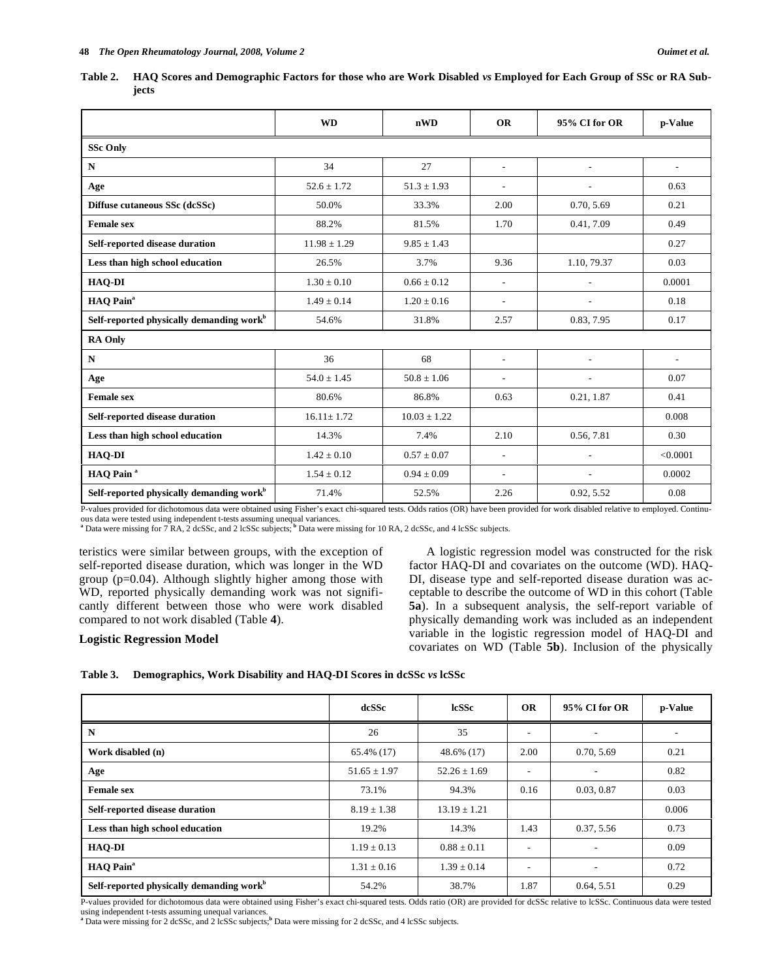| Table 2. HAQ Scores and Demographic Factors for those who are Work Disabled vs Employed for Each Group of SSc or RA Sub- |
|--------------------------------------------------------------------------------------------------------------------------|
| jects                                                                                                                    |

|                                                      | <b>WD</b>        | nWD              | <b>OR</b>                | 95% CI for OR            | p-Value        |  |  |  |
|------------------------------------------------------|------------------|------------------|--------------------------|--------------------------|----------------|--|--|--|
| <b>SSc Only</b>                                      |                  |                  |                          |                          |                |  |  |  |
| ${\bf N}$                                            | 34               | 27               | $\overline{\phantom{a}}$ |                          | $\overline{a}$ |  |  |  |
| Age                                                  | $52.6 \pm 1.72$  | $51.3 \pm 1.93$  | $\overline{\phantom{a}}$ |                          | 0.63           |  |  |  |
| Diffuse cutaneous SSc (dcSSc)                        | 50.0%            | 33.3%            | 2.00                     | 0.70, 5.69               | 0.21           |  |  |  |
| <b>Female sex</b>                                    | 88.2%            | 81.5%            | 1.70                     | 0.41, 7.09               | 0.49           |  |  |  |
| Self-reported disease duration                       | $11.98 \pm 1.29$ | $9.85 \pm 1.43$  |                          |                          | 0.27           |  |  |  |
| Less than high school education                      | 26.5%            | 3.7%             | 9.36                     | 1.10, 79.37              | 0.03           |  |  |  |
| <b>HAQ-DI</b>                                        | $1.30 \pm 0.10$  | $0.66 \pm 0.12$  | $\overline{\phantom{a}}$ |                          | 0.0001         |  |  |  |
| <b>HAQ</b> Pain <sup>a</sup>                         | $1.49 \pm 0.14$  | $1.20 \pm 0.16$  | $\overline{\phantom{a}}$ |                          | 0.18           |  |  |  |
| Self-reported physically demanding work <sup>b</sup> | 54.6%            | 31.8%            | 2.57                     | 0.83, 7.95               | 0.17           |  |  |  |
| <b>RA Only</b>                                       |                  |                  |                          |                          |                |  |  |  |
| ${\bf N}$                                            | 36               | 68               | $\overline{a}$           |                          | $\overline{a}$ |  |  |  |
| Age                                                  | $54.0 \pm 1.45$  | $50.8\pm1.06$    | $\overline{\phantom{a}}$ |                          | 0.07           |  |  |  |
| <b>Female sex</b>                                    | 80.6%            | 86.8%            | 0.63                     | 0.21, 1.87               | 0.41           |  |  |  |
| Self-reported disease duration                       | $16.11 \pm 1.72$ | $10.03 \pm 1.22$ |                          |                          | 0.008          |  |  |  |
| Less than high school education                      | 14.3%            | 7.4%             | 2.10                     | 0.56, 7.81               | 0.30           |  |  |  |
| <b>HAQ-DI</b>                                        | $1.42 \pm 0.10$  | $0.57 \pm 0.07$  | $\overline{\phantom{a}}$ |                          | < 0.0001       |  |  |  |
| HAQ Pain <sup>a</sup>                                | $1.54 \pm 0.12$  | $0.94 \pm 0.09$  | $\overline{\phantom{a}}$ | $\overline{\phantom{a}}$ | 0.0002         |  |  |  |
| Self-reported physically demanding work <sup>b</sup> | 71.4%            | 52.5%            | 2.26                     | 0.92, 5.52               | 0.08           |  |  |  |

P-values provided for dichotomous data were obtained using Fisher's exact chi-squared tests. Odds ratios (OR) have been provided for work disabled relative to employed. Continuous data were tested using independent t-tests assuming unequal variances.<br><sup>a</sup> Data were missing for 7 RA, 2 dcSSc, and 2 lcSSc subjects;<sup>b</sup> Data were missing for 10 RA, 2 dcSSc, and 4 lcSSc subjects.

teristics were similar between groups, with the exception of self-reported disease duration, which was longer in the WD group (p=0.04). Although slightly higher among those with WD, reported physically demanding work was not significantly different between those who were work disabled compared to not work disabled (Table **4**).

 A logistic regression model was constructed for the risk factor HAQ-DI and covariates on the outcome (WD). HAQ-DI, disease type and self-reported disease duration was acceptable to describe the outcome of WD in this cohort (Table **5a**). In a subsequent analysis, the self-report variable of physically demanding work was included as an independent variable in the logistic regression model of HAQ-DI and covariates on WD (Table **5b**). Inclusion of the physically

# **Logistic Regression Model**

| Table 3. | Demographics, Work Disability and HAQ-DI Scores in dcSSc vs lcSSc |  |  |
|----------|-------------------------------------------------------------------|--|--|
|          |                                                                   |  |  |

|                                                      | dcSSc            | <b>lcSSc</b>     | <b>OR</b>                | 95% CI for OR | p-Value |
|------------------------------------------------------|------------------|------------------|--------------------------|---------------|---------|
| $\mathbf N$                                          | 26               | 35               | ۰                        | ۰             |         |
| Work disabled (n)                                    | 65.4% (17)       | 48.6% (17)       | 2.00                     | 0.70, 5.69    | 0.21    |
| Age                                                  | $51.65 \pm 1.97$ | $52.26 \pm 1.69$ |                          |               | 0.82    |
| <b>Female sex</b>                                    | 73.1%            | 94.3%            | 0.16                     | 0.03, 0.87    | 0.03    |
| Self-reported disease duration                       | $8.19 \pm 1.38$  | $13.19 \pm 1.21$ |                          |               | 0.006   |
| Less than high school education                      | 19.2%            | 14.3%            | 1.43                     | 0.37, 5.56    | 0.73    |
| <b>HAO-DI</b>                                        | $1.19 \pm 0.13$  | $0.88 \pm 0.11$  | $\overline{\phantom{a}}$ |               | 0.09    |
| <b>HAQ</b> Pain <sup>a</sup>                         | $1.31 \pm 0.16$  | $1.39 \pm 0.14$  | ۰                        | ٠             | 0.72    |
| Self-reported physically demanding work <sup>b</sup> | 54.2%            | 38.7%            | 1.87                     | 0.64, 5.51    | 0.29    |

P-values provided for dichotomous data were obtained using Fisher's exact chi-squared tests. Odds ratio (OR) are provided for dcSSc relative to lcSSc. Continuous data were tested

using independent t-tests assuming unequal variances. **<sup>a</sup>** Data were missing for 2 dcSSc, and 2 lcSSc subjects;**<sup>b</sup>** Data were missing for 2 dcSSc, and 4 lcSSc subjects.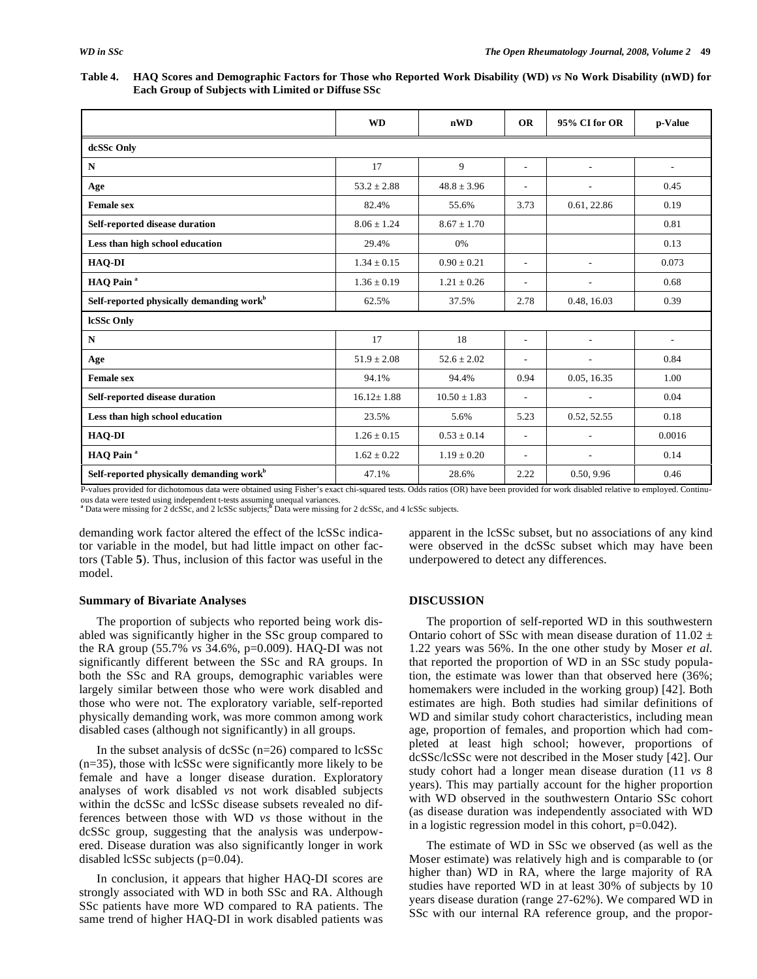| Table 4. HAQ Scores and Demographic Factors for Those who Reported Work Disability (WD) vs No Work Disability (nWD) for |
|-------------------------------------------------------------------------------------------------------------------------|
| <b>Each Group of Subjects with Limited or Diffuse SSc</b>                                                               |

|                                                      | <b>WD</b>        | nWD              | <b>OR</b>                | 95% CI for OR            | p-Value                  |
|------------------------------------------------------|------------------|------------------|--------------------------|--------------------------|--------------------------|
| dcSSc Only                                           |                  |                  |                          |                          |                          |
| ${\bf N}$                                            | 17               | 9                | $\overline{\phantom{a}}$ | $\overline{\phantom{a}}$ | $\overline{\phantom{a}}$ |
| Age                                                  | $53.2 \pm 2.88$  | $48.8 \pm 3.96$  | $\sim$                   | $\overline{a}$           | 0.45                     |
| <b>Female sex</b>                                    | 82.4%            | 55.6%            | 3.73                     | 0.61, 22.86              | 0.19                     |
| Self-reported disease duration                       | $8.06 \pm 1.24$  | $8.67 \pm 1.70$  |                          |                          | 0.81                     |
| Less than high school education                      | 29.4%            | 0%               |                          |                          | 0.13                     |
| HAO-DI                                               | $1.34 \pm 0.15$  | $0.90 \pm 0.21$  | $\sim$                   | $\overline{a}$           | 0.073                    |
| HAQ Pain <sup>a</sup>                                | $1.36 \pm 0.19$  | $1.21 \pm 0.26$  | $\overline{\phantom{a}}$ | $\overline{a}$           | 0.68                     |
| Self-reported physically demanding work <sup>b</sup> | 62.5%            | 37.5%            | 2.78                     | 0.48, 16.03              | 0.39                     |
| lcSSc Only                                           |                  |                  |                          |                          |                          |
| ${\bf N}$                                            | 17               | 18               | $\overline{\phantom{a}}$ | $\overline{\phantom{a}}$ | $\overline{\phantom{a}}$ |
| Age                                                  | $51.9 \pm 2.08$  | $52.6 \pm 2.02$  | $\overline{\phantom{a}}$ | $\overline{\phantom{a}}$ | 0.84                     |
| <b>Female sex</b>                                    | 94.1%            | 94.4%            | 0.94                     | 0.05, 16.35              | 1.00                     |
| Self-reported disease duration                       | $16.12 \pm 1.88$ | $10.50 \pm 1.83$ | $\overline{\phantom{a}}$ | $\overline{a}$           | 0.04                     |
| Less than high school education                      | 23.5%            | 5.6%             | 5.23                     | 0.52, 52.55              | 0.18                     |
| <b>HAO-DI</b>                                        | $1.26 \pm 0.15$  | $0.53 + 0.14$    | $\overline{\phantom{a}}$ | $\overline{a}$           | 0.0016                   |
| HAQ Pain <sup>a</sup>                                | $1.62 \pm 0.22$  | $1.19 \pm 0.20$  | $\overline{\phantom{a}}$ | $\overline{a}$           | 0.14                     |
| Self-reported physically demanding work <sup>b</sup> | 47.1%            | 28.6%            | 2.22                     | 0.50, 9.96               | 0.46                     |

P-values provided for dichotomous data were obtained using Fisher's exact chi-squared tests. Odds ratios (OR) have been provided for work disabled relative to employed. Continuous data were tested using independent t-tests assuming unequal variances.

**<sup>a</sup>** Data were missing for 2 dcSSc, and 2 lcSSc subjects;**<sup>b</sup>** Data were missing for 2 dcSSc, and 4 lcSSc subjects.

demanding work factor altered the effect of the lcSSc indicator variable in the model, but had little impact on other factors (Table **5**). Thus, inclusion of this factor was useful in the model.

apparent in the lcSSc subset, but no associations of any kind were observed in the dcSSc subset which may have been underpowered to detect any differences.

#### **Summary of Bivariate Analyses**

 The proportion of subjects who reported being work disabled was significantly higher in the SSc group compared to the RA group (55.7% *vs* 34.6%, p=0.009). HAQ-DI was not significantly different between the SSc and RA groups. In both the SSc and RA groups, demographic variables were largely similar between those who were work disabled and those who were not. The exploratory variable, self-reported physically demanding work, was more common among work disabled cases (although not significantly) in all groups.

 In the subset analysis of dcSSc (n=26) compared to lcSSc (n=35), those with lcSSc were significantly more likely to be female and have a longer disease duration. Exploratory analyses of work disabled *vs* not work disabled subjects within the dcSSc and lcSSc disease subsets revealed no differences between those with WD *vs* those without in the dcSSc group, suggesting that the analysis was underpowered. Disease duration was also significantly longer in work disabled lcSSc subjects (p=0.04).

 In conclusion, it appears that higher HAQ-DI scores are strongly associated with WD in both SSc and RA. Although SSc patients have more WD compared to RA patients. The same trend of higher HAQ-DI in work disabled patients was

#### **DISCUSSION**

 The proportion of self-reported WD in this southwestern Ontario cohort of SSc with mean disease duration of  $11.02 \pm$ 1.22 years was 56%. In the one other study by Moser *et al.*  that reported the proportion of WD in an SSc study population, the estimate was lower than that observed here (36%; homemakers were included in the working group) [42]. Both estimates are high. Both studies had similar definitions of WD and similar study cohort characteristics, including mean age, proportion of females, and proportion which had completed at least high school; however, proportions of dcSSc/lcSSc were not described in the Moser study [42]. Our study cohort had a longer mean disease duration (11 *vs* 8 years). This may partially account for the higher proportion with WD observed in the southwestern Ontario SSc cohort (as disease duration was independently associated with WD in a logistic regression model in this cohort, p=0.042).

 The estimate of WD in SSc we observed (as well as the Moser estimate) was relatively high and is comparable to (or higher than) WD in RA, where the large majority of RA studies have reported WD in at least 30% of subjects by 10 years disease duration (range 27-62%). We compared WD in SSc with our internal RA reference group, and the propor-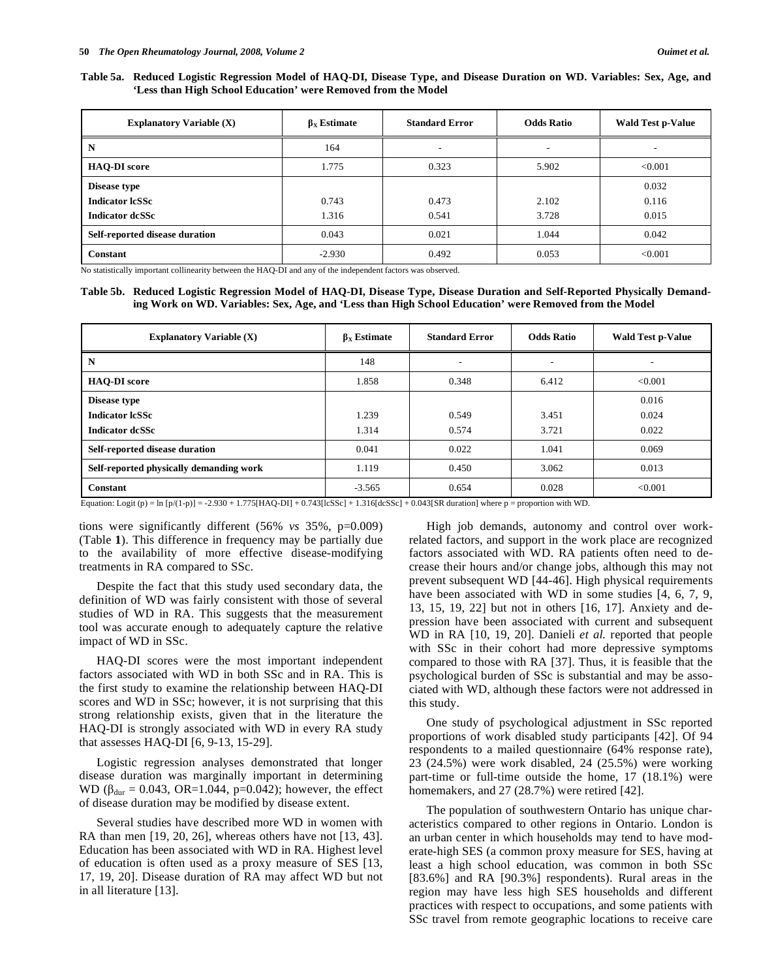| Explanatory Variable $(X)$     | $\beta$ <sub>x</sub> Estimate | <b>Standard Error</b>    | <b>Odds Ratio</b> | <b>Wald Test p-Value</b> |
|--------------------------------|-------------------------------|--------------------------|-------------------|--------------------------|
| N                              | 164                           | $\overline{\phantom{a}}$ |                   |                          |
| <b>HAO-DI</b> score            | 1.775                         | 0.323                    | 5.902             | < 0.001                  |
| Disease type                   |                               |                          |                   | 0.032                    |
| <b>Indicator lcSSc</b>         | 0.743                         | 0.473                    | 2.102             | 0.116                    |
| <b>Indicator dcSSc</b>         | 1.316                         | 0.541                    | 3.728             | 0.015                    |
| Self-reported disease duration | 0.043                         | 0.021                    | 1.044             | 0.042                    |
| <b>Constant</b>                | $-2.930$                      | 0.492                    | 0.053             | < 0.001                  |

No statistically important collinearity between the HAQ-DI and any of the independent factors was observed.

#### **Table 5b. Reduced Logistic Regression Model of HAQ-DI, Disease Type, Disease Duration and Self-Reported Physically Demanding Work on WD. Variables: Sex, Age, and 'Less than High School Education' were Removed from the Model**

| <b>Explanatory Variable (X)</b>         | $\beta$ <sub>X</sub> Estimate | <b>Standard Error</b>    | <b>Odds Ratio</b>        | <b>Wald Test p-Value</b> |
|-----------------------------------------|-------------------------------|--------------------------|--------------------------|--------------------------|
| N                                       | 148                           | $\overline{\phantom{a}}$ | $\overline{\phantom{a}}$ |                          |
| <b>HAQ-DI</b> score                     | 1.858                         | 0.348                    | 6.412                    | < 0.001                  |
| Disease type                            |                               |                          |                          | 0.016                    |
| <b>Indicator lcSSc</b>                  | 1.239                         | 0.549                    | 3.451                    | 0.024                    |
| <b>Indicator dcSSc</b>                  | 1.314                         | 0.574                    | 3.721                    | 0.022                    |
| Self-reported disease duration          | 0.041                         | 0.022                    | 1.041                    | 0.069                    |
| Self-reported physically demanding work | 1.119                         | 0.450                    | 3.062                    | 0.013                    |
| <b>Constant</b>                         | $-3.565$                      | 0.654                    | 0.028                    | < 0.001                  |

Equation: Logit (p) = ln  $[p/(1-p)] = -2.930 + 1.775$ [HAQ-DI] + 0.743[lcSSc] + 1.316[dcSSc] + 0.043[SR duration] where p = proportion with WD.

tions were significantly different (56% *vs* 35%, p=0.009) (Table **1**). This difference in frequency may be partially due to the availability of more effective disease-modifying treatments in RA compared to SSc.

 Despite the fact that this study used secondary data, the definition of WD was fairly consistent with those of several studies of WD in RA. This suggests that the measurement tool was accurate enough to adequately capture the relative impact of WD in SSc.

 HAQ-DI scores were the most important independent factors associated with WD in both SSc and in RA. This is the first study to examine the relationship between HAQ-DI scores and WD in SSc; however, it is not surprising that this strong relationship exists, given that in the literature the HAQ-DI is strongly associated with WD in every RA study that assesses HAQ-DI [6, 9-13, 15-29].

 Logistic regression analyses demonstrated that longer disease duration was marginally important in determining WD ( $\beta_{dur} = 0.043$ , OR=1.044, p=0.042); however, the effect of disease duration may be modified by disease extent.

 Several studies have described more WD in women with RA than men [19, 20, 26], whereas others have not [13, 43]. Education has been associated with WD in RA. Highest level of education is often used as a proxy measure of SES [13, 17, 19, 20]. Disease duration of RA may affect WD but not in all literature [13].

 High job demands, autonomy and control over workrelated factors, and support in the work place are recognized factors associated with WD. RA patients often need to decrease their hours and/or change jobs, although this may not prevent subsequent WD [44-46]. High physical requirements have been associated with WD in some studies [4, 6, 7, 9, 13, 15, 19, 22] but not in others [16, 17]. Anxiety and depression have been associated with current and subsequent WD in RA [10, 19, 20]. Danieli *et al.* reported that people with SSc in their cohort had more depressive symptoms compared to those with RA [37]. Thus, it is feasible that the psychological burden of SSc is substantial and may be associated with WD, although these factors were not addressed in this study.

 One study of psychological adjustment in SSc reported proportions of work disabled study participants [42]. Of 94 respondents to a mailed questionnaire (64% response rate), 23 (24.5%) were work disabled, 24 (25.5%) were working part-time or full-time outside the home, 17 (18.1%) were homemakers, and 27 (28.7%) were retired [42].

 The population of southwestern Ontario has unique characteristics compared to other regions in Ontario. London is an urban center in which households may tend to have moderate-high SES (a common proxy measure for SES, having at least a high school education, was common in both SSc [83.6%] and RA [90.3%] respondents). Rural areas in the region may have less high SES households and different practices with respect to occupations, and some patients with SSc travel from remote geographic locations to receive care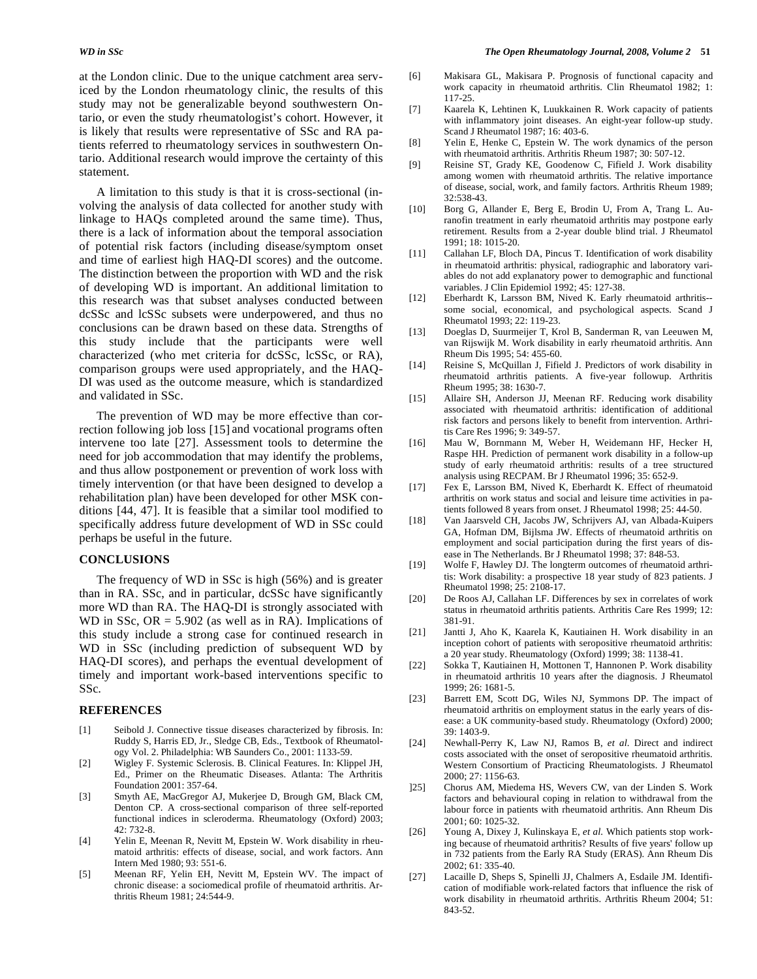at the London clinic. Due to the unique catchment area serviced by the London rheumatology clinic, the results of this study may not be generalizable beyond southwestern Ontario, or even the study rheumatologist's cohort. However, it is likely that results were representative of SSc and RA patients referred to rheumatology services in southwestern Ontario. Additional research would improve the certainty of this statement.

 A limitation to this study is that it is cross-sectional (involving the analysis of data collected for another study with linkage to HAQs completed around the same time). Thus, there is a lack of information about the temporal association of potential risk factors (including disease/symptom onset and time of earliest high HAQ-DI scores) and the outcome. The distinction between the proportion with WD and the risk of developing WD is important. An additional limitation to this research was that subset analyses conducted between dcSSc and lcSSc subsets were underpowered, and thus no conclusions can be drawn based on these data. Strengths of this study include that the participants were well characterized (who met criteria for dcSSc, lcSSc, or RA), comparison groups were used appropriately, and the HAQ-DI was used as the outcome measure, which is standardized and validated in SSc.

 The prevention of WD may be more effective than correction following job loss [15] and vocational programs often intervene too late [27]. Assessment tools to determine the need for job accommodation that may identify the problems, and thus allow postponement or prevention of work loss with timely intervention (or that have been designed to develop a rehabilitation plan) have been developed for other MSK conditions [44, 47]. It is feasible that a similar tool modified to specifically address future development of WD in SSc could perhaps be useful in the future.

# **CONCLUSIONS**

 The frequency of WD in SSc is high (56%) and is greater than in RA. SSc, and in particular, dcSSc have significantly more WD than RA. The HAQ-DI is strongly associated with WD in SSc,  $OR = 5.902$  (as well as in RA). Implications of this study include a strong case for continued research in WD in SSc (including prediction of subsequent WD by HAQ-DI scores), and perhaps the eventual development of timely and important work-based interventions specific to SSc.

#### **REFERENCES**

- [1] Seibold J. Connective tissue diseases characterized by fibrosis. In: Ruddy S, Harris ED, Jr., Sledge CB, Eds., Textbook of Rheumatology Vol. 2. Philadelphia: WB Saunders Co., 2001: 1133-59.
- [2] Wigley F. Systemic Sclerosis. B. Clinical Features. In: Klippel JH, Ed., Primer on the Rheumatic Diseases. Atlanta: The Arthritis Foundation 2001: 357-64.
- [3] Smyth AE, MacGregor AJ, Mukerjee D, Brough GM, Black CM, Denton CP. A cross-sectional comparison of three self-reported functional indices in scleroderma. Rheumatology (Oxford) 2003; 42: 732-8.
- [4] Yelin E, Meenan R, Nevitt M, Epstein W. Work disability in rheumatoid arthritis: effects of disease, social, and work factors. Ann Intern Med 1980; 93: 551-6.
- [5] Meenan RF, Yelin EH, Nevitt M, Epstein WV. The impact of chronic disease: a sociomedical profile of rheumatoid arthritis. Arthritis Rheum 1981; 24:544-9.
- [6] Makisara GL, Makisara P. Prognosis of functional capacity and work capacity in rheumatoid arthritis. Clin Rheumatol 1982; 1: 117-25.
- [7] Kaarela K, Lehtinen K, Luukkainen R. Work capacity of patients with inflammatory joint diseases. An eight-year follow-up study. Scand J Rheumatol 1987; 16: 403-6.
- [8] Yelin E, Henke C, Epstein W. The work dynamics of the person with rheumatoid arthritis. Arthritis Rheum 1987; 30: 507-12.
- [9] Reisine ST, Grady KE, Goodenow C, Fifield J. Work disability among women with rheumatoid arthritis. The relative importance of disease, social, work, and family factors. Arthritis Rheum 1989; 32:538-43.
- [10] Borg G, Allander E, Berg E, Brodin U, From A, Trang L. Auranofin treatment in early rheumatoid arthritis may postpone early retirement. Results from a 2-year double blind trial. J Rheumatol  $1991: 18: 1015-20.$
- [11] Callahan LF, Bloch DA, Pincus T. Identification of work disability in rheumatoid arthritis: physical, radiographic and laboratory variables do not add explanatory power to demographic and functional variables. J Clin Epidemiol 1992; 45: 127-38.
- [12] Eberhardt K, Larsson BM, Nived K. Early rheumatoid arthritis- some social, economical, and psychological aspects. Scand J Rheumatol 1993; 22: 119-23.
- [13] Doeglas D, Suurmeijer T, Krol B, Sanderman R, van Leeuwen M, van Rijswijk M. Work disability in early rheumatoid arthritis. Ann Rheum Dis 1995; 54: 455-60.
- [14] Reisine S, McQuillan J, Fifield J. Predictors of work disability in rheumatoid arthritis patients. A five-year followup. Arthritis Rheum 1995; 38: 1630-7.
- [15] Allaire SH, Anderson JJ, Meenan RF. Reducing work disability associated with rheumatoid arthritis: identification of additional risk factors and persons likely to benefit from intervention. Arthritis Care Res 1996; 9: 349-57.
- [16] Mau W, Bornmann M, Weber H, Weidemann HF, Hecker H, Raspe HH. Prediction of permanent work disability in a follow-up study of early rheumatoid arthritis: results of a tree structured analysis using RECPAM. Br J Rheumatol 1996; 35: 652-9.
- [17] Fex E, Larsson BM, Nived K, Eberhardt K. Effect of rheumatoid arthritis on work status and social and leisure time activities in patients followed 8 years from onset. J Rheumatol 1998; 25: 44-50.
- [18] Van Jaarsveld CH, Jacobs JW, Schrijvers AJ, van Albada-Kuipers GA, Hofman DM, Bijlsma JW. Effects of rheumatoid arthritis on employment and social participation during the first years of disease in The Netherlands. Br J Rheumatol 1998; 37: 848-53.
- [19] Wolfe F, Hawley DJ. The longterm outcomes of rheumatoid arthritis: Work disability: a prospective 18 year study of 823 patients. J Rheumatol 1998; 25: 2108-17.
- [20] De Roos AJ, Callahan LF. Differences by sex in correlates of work status in rheumatoid arthritis patients. Arthritis Care Res 1999; 12: 381-91.
- [21] Jantti J, Aho K, Kaarela K, Kautiainen H. Work disability in an inception cohort of patients with seropositive rheumatoid arthritis: a 20 year study. Rheumatology (Oxford) 1999; 38: 1138-41.
- [22] Sokka T, Kautiainen H, Mottonen T, Hannonen P. Work disability in rheumatoid arthritis 10 years after the diagnosis. J Rheumatol 1999; 26: 1681-5.
- [23] Barrett EM, Scott DG, Wiles NJ, Symmons DP. The impact of rheumatoid arthritis on employment status in the early years of disease: a UK community-based study. Rheumatology (Oxford) 2000; 39: 1403-9.
- [24] Newhall-Perry K, Law NJ, Ramos B, *et al*. Direct and indirect costs associated with the onset of seropositive rheumatoid arthritis. Western Consortium of Practicing Rheumatologists. J Rheumatol 2000; 27: 1156-63.
- ]25] Chorus AM, Miedema HS, Wevers CW, van der Linden S. Work factors and behavioural coping in relation to withdrawal from the labour force in patients with rheumatoid arthritis. Ann Rheum Dis 2001; 60: 1025-32.
- [26] Young A, Dixey J, Kulinskaya E, *et al*. Which patients stop working because of rheumatoid arthritis? Results of five years' follow up in 732 patients from the Early RA Study (ERAS). Ann Rheum Dis 2002; 61: 335-40.
- [27] Lacaille D, Sheps S, Spinelli JJ, Chalmers A, Esdaile JM. Identification of modifiable work-related factors that influence the risk of work disability in rheumatoid arthritis. Arthritis Rheum 2004; 51: 843-52.